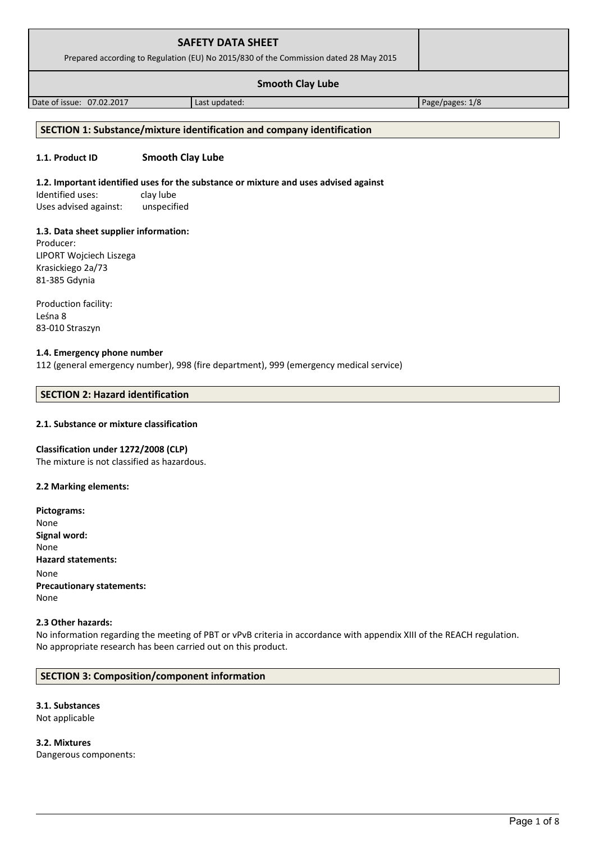| <b>SAFETY DATA SHEET</b><br>Prepared according to Regulation (EU) No 2015/830 of the Commission dated 28 May 2015 |               |                 |
|-------------------------------------------------------------------------------------------------------------------|---------------|-----------------|
| <b>Smooth Clay Lube</b>                                                                                           |               |                 |
| Date of issue: 07.02.2017                                                                                         | Last updated: | Page/pages: 1/8 |
|                                                                                                                   |               |                 |

# **SECTION 1: Substance/mixture identification and company identification**

# **1.1. Product ID Smooth Clay Lube**

#### **1.2. Important identified uses for the substance or mixture and uses advised against**

Identified uses: clay lube Uses advised against: unspecified

#### **1.3. Data sheet supplier information:**

Producer: LIPORT Wojciech Liszega Krasickiego 2a/73 81-385 Gdynia

Production facility: Leśna 8 83-010 Straszyn

#### **1.4. Emergency phone number**

112 (general emergency number), 998 (fire department), 999 (emergency medical service)

# **SECTION 2: Hazard identification**

# **2.1. Substance or mixture classification**

#### **Classification under 1272/2008 (CLP)**

The mixture is not classified as hazardous.

#### **2.2 Marking elements:**

| Pictograms:                      |
|----------------------------------|
| None                             |
| Signal word:                     |
| None                             |
| <b>Hazard statements:</b>        |
| None                             |
| <b>Precautionary statements:</b> |
| None                             |

#### **2.3 Other hazards:**

No information regarding the meeting of PBT or vPvB criteria in accordance with appendix XIII of the REACH regulation. No appropriate research has been carried out on this product.

# **SECTION 3: Composition/component information**

**3.1. Substances** Not applicable

**3.2. Mixtures** Dangerous components: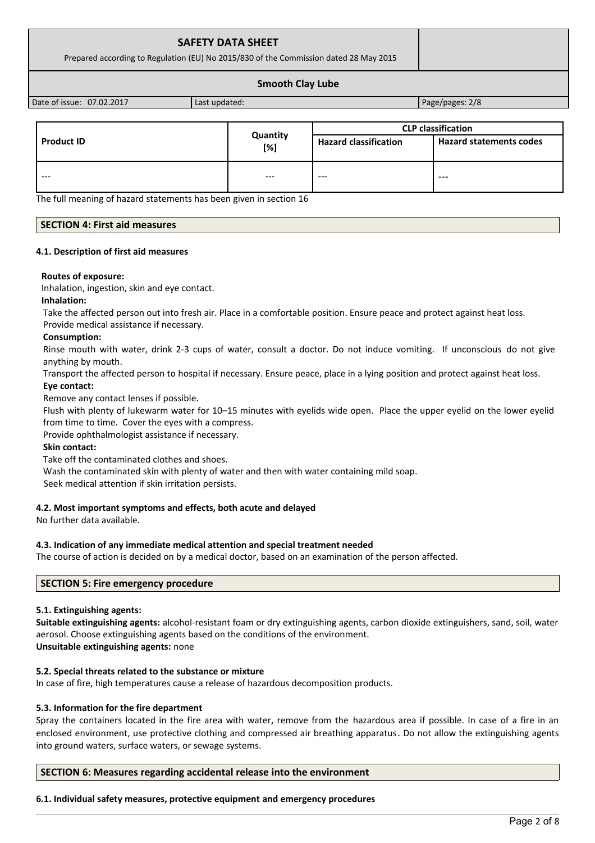# **SAFETY DATA SHEET**

Prepared according to Regulation (EU) No 2015/830 of the Commission dated 28 May 2015

#### **Smooth Clay Lube**

Date of issue: 07.02.2017 | Last updated: Page/pages: 2/8

|                   |                 | <b>CLP classification</b>    |                                |
|-------------------|-----------------|------------------------------|--------------------------------|
| <b>Product ID</b> | Quantity<br>[%] | <b>Hazard classification</b> | <b>Hazard statements codes</b> |
| $- - -$           | $---$           | ---                          | $---$                          |

The full meaning of hazard statements has been given in section 16

#### **SECTION 4: First aid measures**

#### **4.1. Description of first aid measures**

#### **Routes of exposure:**

Inhalation, ingestion, skin and eye contact.

#### **Inhalation:**

Take the affected person out into fresh air. Place in a comfortable position. Ensure peace and protect against heat loss. Provide medical assistance if necessary.

#### **Consumption:**

Rinse mouth with water, drink 2-3 cups of water, consult a doctor. Do not induce vomiting. If unconscious do not give anything by mouth.

Transport the affected person to hospital if necessary. Ensure peace, place in a lying position and protect against heat loss.

#### **Eye contact:**

Remove any contact lenses if possible.

Flush with plenty of lukewarm water for 10–15 minutes with eyelids wide open. Place the upper eyelid on the lower eyelid from time to time. Cover the eyes with a compress.

Provide ophthalmologist assistance if necessary.

#### **Skin contact:**

Take off the contaminated clothes and shoes.

Wash the contaminated skin with plenty of water and then with water containing mild soap.

Seek medical attention if skin irritation persists.

# **4.2. Most important symptoms and effects, both acute and delayed**

No further data available.

#### **4.3. Indication of any immediate medical attention and special treatment needed**

The course of action is decided on by a medical doctor, based on an examination of the person affected.

# **SECTION 5: Fire emergency procedure**

#### **5.1. Extinguishing agents:**

**Suitable extinguishing agents:** alcohol-resistant foam or dry extinguishing agents, carbon dioxide extinguishers, sand, soil, water aerosol. Choose extinguishing agents based on the conditions of the environment. **Unsuitable extinguishing agents:** none

#### **5.2. Special threats related to the substance or mixture**

In case of fire, high temperatures cause a release of hazardous decomposition products.

#### **5.3. Information for the fire department**

Spray the containers located in the fire area with water, remove from the hazardous area if possible. In case of a fire in an enclosed environment, use protective clothing and compressed air breathing apparatus. Do not allow the extinguishing agents into ground waters, surface waters, or sewage systems.

# **SECTION 6: Measures regarding accidental release into the environment**

#### **6.1. Individual safety measures, protective equipment and emergency procedures**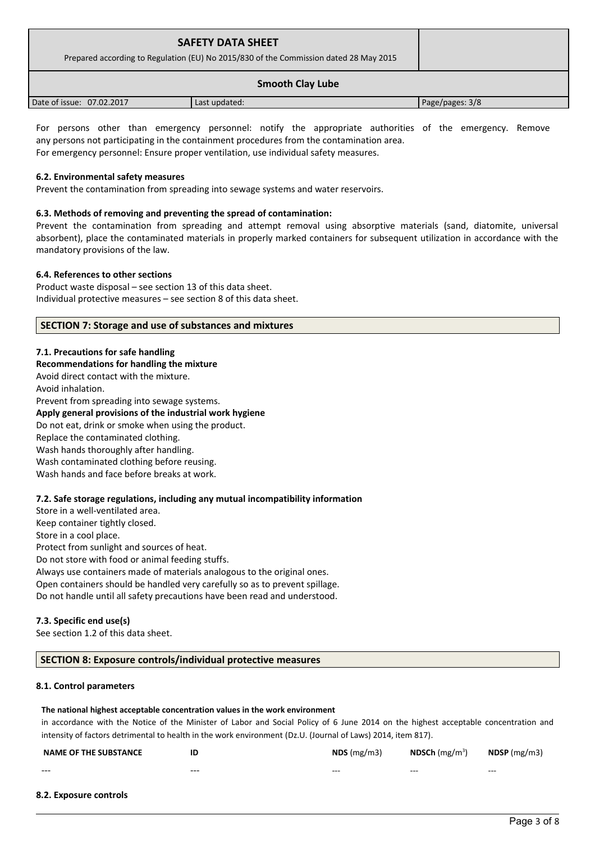| <b>SAFETY DATA SHEET</b><br>Prepared according to Regulation (EU) No 2015/830 of the Commission dated 28 May 2015 |               |                 |
|-------------------------------------------------------------------------------------------------------------------|---------------|-----------------|
| <b>Smooth Clay Lube</b>                                                                                           |               |                 |
| Date of issue: 07.02.2017                                                                                         | Last updated: | Page/pages: 3/8 |

For persons other than emergency personnel: notify the appropriate authorities of the emergency. Remove any persons not participating in the containment procedures from the contamination area.

For emergency personnel: Ensure proper ventilation, use individual safety measures.

# **6.2. Environmental safety measures**

Prevent the contamination from spreading into sewage systems and water reservoirs.

# **6.3. Methods of removing and preventing the spread of contamination:**

Prevent the contamination from spreading and attempt removal using absorptive materials (sand, diatomite, universal absorbent), place the contaminated materials in properly marked containers for subsequent utilization in accordance with the mandatory provisions of the law.

# **6.4. References to other sections**

Product waste disposal – see section 13 of this data sheet. Individual protective measures – see section 8 of this data sheet.

# **SECTION 7: Storage and use of substances and mixtures**

**7.1. Precautions for safe handling Recommendations for handling the mixture**  Avoid direct contact with the mixture. Avoid inhalation. Prevent from spreading into sewage systems. **Apply general provisions of the industrial work hygiene**  Do not eat, drink or smoke when using the product. Replace the contaminated clothing. Wash hands thoroughly after handling. Wash contaminated clothing before reusing. Wash hands and face before breaks at work.

# **7.2. Safe storage regulations, including any mutual incompatibility information**

Store in a well-ventilated area. Keep container tightly closed. Store in a cool place.

Protect from sunlight and sources of heat.

Do not store with food or animal feeding stuffs.

Always use containers made of materials analogous to the original ones. Open containers should be handled very carefully so as to prevent spillage.

Do not handle until all safety precautions have been read and understood.

# **7.3. Specific end use(s)**

See section 1.2 of this data sheet.

# **SECTION 8: Exposure controls/individual protective measures**

# **8.1. Control parameters**

# **The national highest acceptable concentration values in the work environment**

in accordance with the Notice of the Minister of Labor and Social Policy of 6 June 2014 on the highest acceptable concentration and intensity of factors detrimental to health in the work environment (Dz.U. (Journal of Laws) 2014, item 817).

| <b>NAME OF THE SUBSTANCE</b> | IC    | NDS(mg/m3) | <b>NDSCh</b> $(mg/m^3)$ | $NDSP$ (mg/m3) |
|------------------------------|-------|------------|-------------------------|----------------|
| ---                          | $---$ | $- - -$    | $- - -$                 | $- - -$        |

# **8.2. Exposure controls**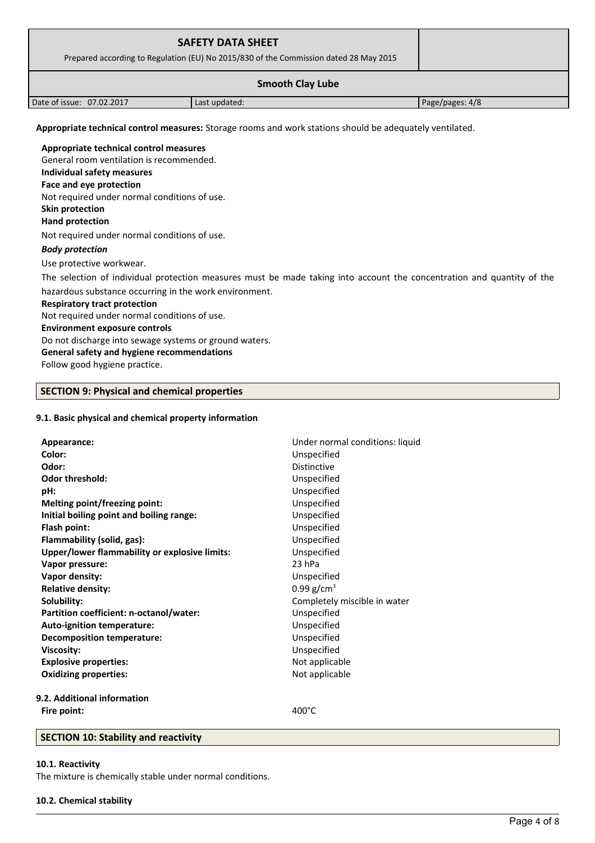| <b>SAFETY DATA SHEET</b><br>Prepared according to Regulation (EU) No 2015/830 of the Commission dated 28 May 2015 |               |                 |
|-------------------------------------------------------------------------------------------------------------------|---------------|-----------------|
| <b>Smooth Clay Lube</b>                                                                                           |               |                 |
| Date of issue: 07.02.2017                                                                                         | Last updated: | Page/pages: 4/8 |
|                                                                                                                   |               |                 |

**Appropriate technical control measures:** Storage rooms and work stations should be adequately ventilated.

**Appropriate technical control measures** General room ventilation is recommended. **Individual safety measures Face and eye protection** Not required under normal conditions of use. **Skin protection Hand protection** Not required under normal conditions of use. *Body protection* Use protective workwear. The selection of individual protection measures must be made taking into account the concentration and quantity of the hazardous substance occurring in the work environment.

**Respiratory tract protection**

Not required under normal conditions of use.

# **Environment exposure controls**

Do not discharge into sewage systems or ground waters.

#### **General safety and hygiene recommendations**

Follow good hygiene practice.

**SECTION 9: Physical and chemical properties**

# **9.1. Basic physical and chemical property information**

| Appearance:                                   | Under normal conditions: liquid |
|-----------------------------------------------|---------------------------------|
| Color:                                        | Unspecified                     |
| Odor:                                         | <b>Distinctive</b>              |
| <b>Odor threshold:</b>                        | Unspecified                     |
| pH:                                           | Unspecified                     |
| Melting point/freezing point:                 | Unspecified                     |
| Initial boiling point and boiling range:      | Unspecified                     |
| Flash point:                                  | Unspecified                     |
| Flammability (solid, gas):                    | Unspecified                     |
| Upper/lower flammability or explosive limits: | Unspecified                     |
| Vapor pressure:                               | 23 hPa                          |
| Vapor density:                                | Unspecified                     |
| <b>Relative density:</b>                      | 0.99 $g/cm^{3}$                 |
| Solubility:                                   | Completely miscible in water    |
| Partition coefficient: n-octanol/water:       | Unspecified                     |
| Auto-ignition temperature:                    | Unspecified                     |
| <b>Decomposition temperature:</b>             | Unspecified                     |
| <b>Viscosity:</b>                             | Unspecified                     |
| <b>Explosive properties:</b>                  | Not applicable                  |
| <b>Oxidizing properties:</b>                  | Not applicable                  |
| 9.2. Additional information                   |                                 |
| Fire point:                                   | $400^{\circ}$ C                 |
|                                               |                                 |

# **SECTION 10: Stability and reactivity**

#### **10.1. Reactivity**

The mixture is chemically stable under normal conditions.

#### **10.2. Chemical stability**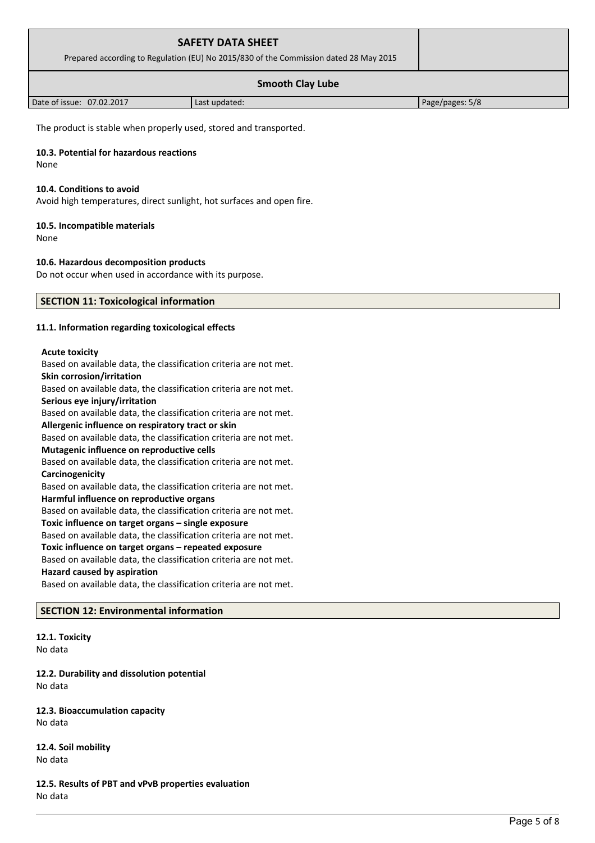| <b>SAFETY DATA SHEET</b><br>Prepared according to Regulation (EU) No 2015/830 of the Commission dated 28 May 2015 |               |                 |
|-------------------------------------------------------------------------------------------------------------------|---------------|-----------------|
| <b>Smooth Clay Lube</b>                                                                                           |               |                 |
| Date of issue: 07.02.2017                                                                                         | Last updated: | Page/pages: 5/8 |

The product is stable when properly used, stored and transported.

#### **10.3. Potential for hazardous reactions**

None

#### **10.4. Conditions to avoid**

Avoid high temperatures, direct sunlight, hot surfaces and open fire.

# **10.5. Incompatible materials**

None

#### **10.6. Hazardous decomposition products**

Do not occur when used in accordance with its purpose.

# **SECTION 11: Toxicological information**

#### **11.1. Information regarding toxicological effects**

#### **Acute toxicity**

Based on available data, the classification criteria are not met. **Skin corrosion/irritation** Based on available data, the classification criteria are not met. **Serious eye injury/irritation** Based on available data, the classification criteria are not met. **Allergenic influence on respiratory tract or skin** Based on available data, the classification criteria are not met. **Mutagenic influence on reproductive cells** Based on available data, the classification criteria are not met. **Carcinogenicity** Based on available data, the classification criteria are not met. **Harmful influence on reproductive organs** Based on available data, the classification criteria are not met. **Toxic influence on target organs – single exposure** Based on available data, the classification criteria are not met. **Toxic influence on target organs – repeated exposure** Based on available data, the classification criteria are not met. **Hazard caused by aspiration** Based on available data, the classification criteria are not met.

# **SECTION 12: Environmental information**

**12.1. Toxicity** No data

**12.2. Durability and dissolution potential** No data

**12.3. Bioaccumulation capacity** No data

**12.4. Soil mobility** No data

**12.5. Results of PBT and vPvB properties evaluation** No data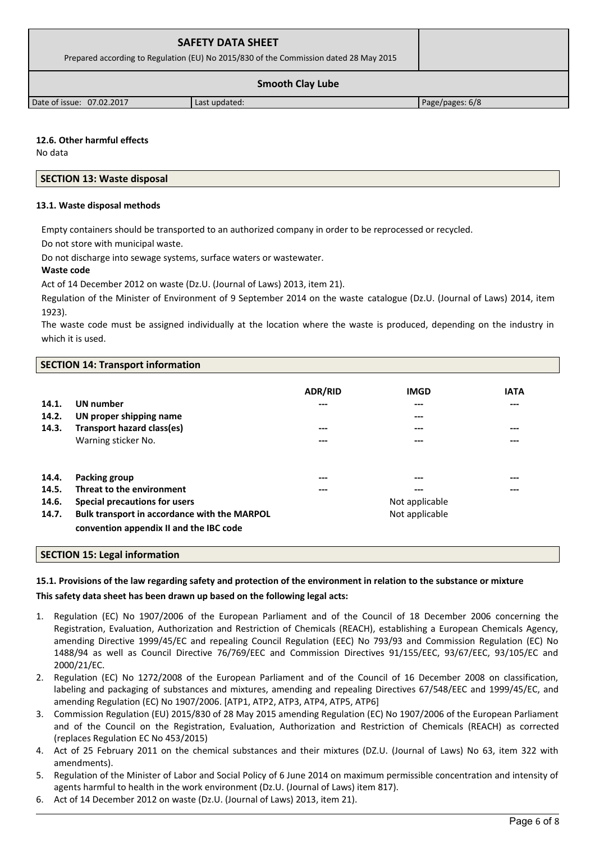| <b>SAFETY DATA SHEET</b>                                                              |  |
|---------------------------------------------------------------------------------------|--|
| Prepared according to Regulation (EU) No 2015/830 of the Commission dated 28 May 2015 |  |
| <b>Smooth Clay Lube</b>                                                               |  |

Date of issue: 07.02.2017 | Last updated: Page/pages: 6/8

**12.6. Other harmful effects** No data

# **SECTION 13: Waste disposal**

# **13.1. Waste disposal methods**

Empty containers should be transported to an authorized company in order to be reprocessed or recycled. Do not store with municipal waste.

Do not discharge into sewage systems, surface waters or wastewater.

**Waste code**

Act of 14 December 2012 on waste (Dz.U. (Journal of Laws) 2013, item 21).

Regulation of the Minister of Environment of 9 September 2014 on the waste catalogue (Dz.U. (Journal of Laws) 2014, item 1923).

The waste code must be assigned individually at the location where the waste is produced, depending on the industry in which it is used.

# **SECTION 14: Transport information**

| 14.1.<br>14.2.<br>14.3. | UN number<br>UN proper shipping name<br>Transport hazard class(es)<br>Warning sticker No. | <b>ADR/RID</b><br>$---$<br>$---$<br>$---$ | <b>IMGD</b><br>---<br>---<br>---<br>--- | <b>IATA</b><br>$---$<br>---<br>--- |
|-------------------------|-------------------------------------------------------------------------------------------|-------------------------------------------|-----------------------------------------|------------------------------------|
| 14.4.                   | Packing group                                                                             | $---$                                     | ---                                     | ---                                |
| 14.5.                   | Threat to the environment                                                                 | $- - -$                                   | ---                                     | ---                                |
| 14.6.                   | Special precautions for users                                                             |                                           | Not applicable                          |                                    |
| 14.7.                   | Bulk transport in accordance with the MARPOL                                              |                                           | Not applicable                          |                                    |
|                         | convention appendix II and the IBC code                                                   |                                           |                                         |                                    |

# **SECTION 15: Legal information**

# **15.1. Provisions of the law regarding safety and protection of the environment in relation to the substance or mixture**

# **This safety data sheet has been drawn up based on the following legal acts:**

- 1. Regulation (EC) No 1907/2006 of the European Parliament and of the Council of 18 December 2006 concerning the Registration, Evaluation, Authorization and Restriction of Chemicals (REACH), establishing a European Chemicals Agency, amending Directive 1999/45/EC and repealing Council Regulation (EEC) No 793/93 and Commission Regulation (EC) No 1488/94 as well as Council Directive 76/769/EEC and Commission Directives 91/155/EEC, 93/67/EEC, 93/105/EC and 2000/21/EC.
- 2. Regulation (EC) No 1272/2008 of the European Parliament and of the Council of 16 December 2008 on classification, labeling and packaging of substances and mixtures, amending and repealing Directives 67/548/EEC and 1999/45/EC, and amending Regulation (EC) No 1907/2006. [ATP1, ATP2, ATP3, ATP4, ATP5, ATP6]
- 3. Commission Regulation (EU) 2015/830 of 28 May 2015 amending Regulation (EC) No 1907/2006 of the European Parliament and of the Council on the Registration, Evaluation, Authorization and Restriction of Chemicals (REACH) as corrected (replaces Regulation EC No 453/2015)
- 4. Act of 25 February 2011 on the chemical substances and their mixtures (DZ.U. (Journal of Laws) No 63, item 322 with amendments).
- 5. Regulation of the Minister of Labor and Social Policy of 6 June 2014 on maximum permissible concentration and intensity of agents harmful to health in the work environment (Dz.U. (Journal of Laws) item 817).
- 6. Act of 14 December 2012 on waste (Dz.U. (Journal of Laws) 2013, item 21).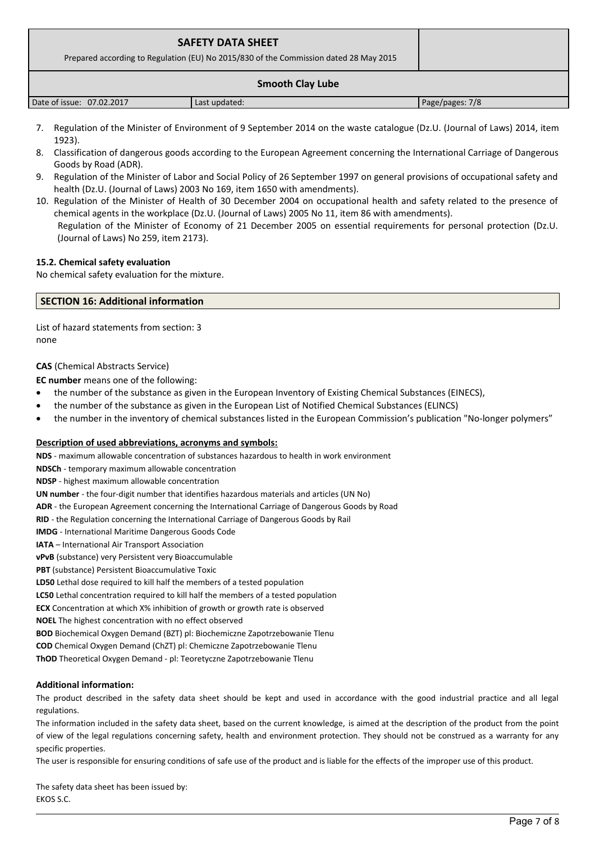| <b>SAFETY DATA SHEET</b><br>Prepared according to Regulation (EU) No 2015/830 of the Commission dated 28 May 2015 |               |                 |
|-------------------------------------------------------------------------------------------------------------------|---------------|-----------------|
| <b>Smooth Clay Lube</b>                                                                                           |               |                 |
| Date of issue: 07.02.2017                                                                                         | Last updated: | Page/pages: 7/8 |

- 7. Regulation of the Minister of Environment of 9 September 2014 on the waste catalogue (Dz.U. (Journal of Laws) 2014, item 1923).
- 8. Classification of dangerous goods according to the European Agreement concerning the International Carriage of Dangerous Goods by Road (ADR).
- 9. Regulation of the Minister of Labor and Social Policy of 26 September 1997 on general provisions of occupational safety and health (Dz.U. (Journal of Laws) 2003 No 169, item 1650 with amendments).
- 10. Regulation of the Minister of Health of 30 December 2004 on occupational health and safety related to the presence of chemical agents in the workplace (Dz.U. (Journal of Laws) 2005 No 11, item 86 with amendments). Regulation of the Minister of Economy of 21 December 2005 on essential requirements for personal protection (Dz.U. (Journal of Laws) No 259, item 2173).

# **15.2. Chemical safety evaluation**

No chemical safety evaluation for the mixture.

# **SECTION 16: Additional information**

List of hazard statements from section: 3 none

# **CAS** (Chemical Abstracts Service)

**EC number** means one of the following:

- the number of the substance as given in the European Inventory of Existing Chemical Substances (EINECS),
- the number of the substance as given in the European List of Notified Chemical Substances (ELINCS)
- the number in the inventory of chemical substances listed in the European Commission's publication "No-longer polymers"

# **Description of used abbreviations, acronyms and symbols:**

**NDS** - maximum allowable concentration of substances hazardous to health in work environment

**NDSCh** - temporary maximum allowable concentration

**NDSP** - highest maximum allowable concentration

**UN number** - the four-digit number that identifies hazardous materials and articles (UN No)

**ADR** - the European Agreement concerning the International Carriage of Dangerous Goods by Road

**RID** - the Regulation concerning the International Carriage of Dangerous Goods by Rail

**IMDG** - International Maritime Dangerous Goods Code

**IATA** – International Air Transport Association

**vPvB** (substance) very Persistent very Bioaccumulable

**PBT** (substance) Persistent Bioaccumulative Toxic

**LD50** Lethal dose required to kill half the members of a tested population

**LC50** Lethal concentration required to kill half the members of a tested population

**ECX** Concentration at which X% inhibition of growth or growth rate is observed

**NOEL** The highest concentration with no effect observed

**BOD** Biochemical Oxygen Demand (BZT) pl: Biochemiczne Zapotrzebowanie Tlenu

**COD** Chemical Oxygen Demand (ChZT) pl: Chemiczne Zapotrzebowanie Tlenu

**ThOD** Theoretical Oxygen Demand - pl: Teoretyczne Zapotrzebowanie Tlenu

# **Additional information:**

The product described in the safety data sheet should be kept and used in accordance with the good industrial practice and all legal regulations.

The information included in the safety data sheet, based on the current knowledge, is aimed at the description of the product from the point of view of the legal regulations concerning safety, health and environment protection. They should not be construed as a warranty for any specific properties.

The user is responsible for ensuring conditions of safe use of the product and is liable for the effects of the improper use of this product.

The safety data sheet has been issued by: EKOS S.C.